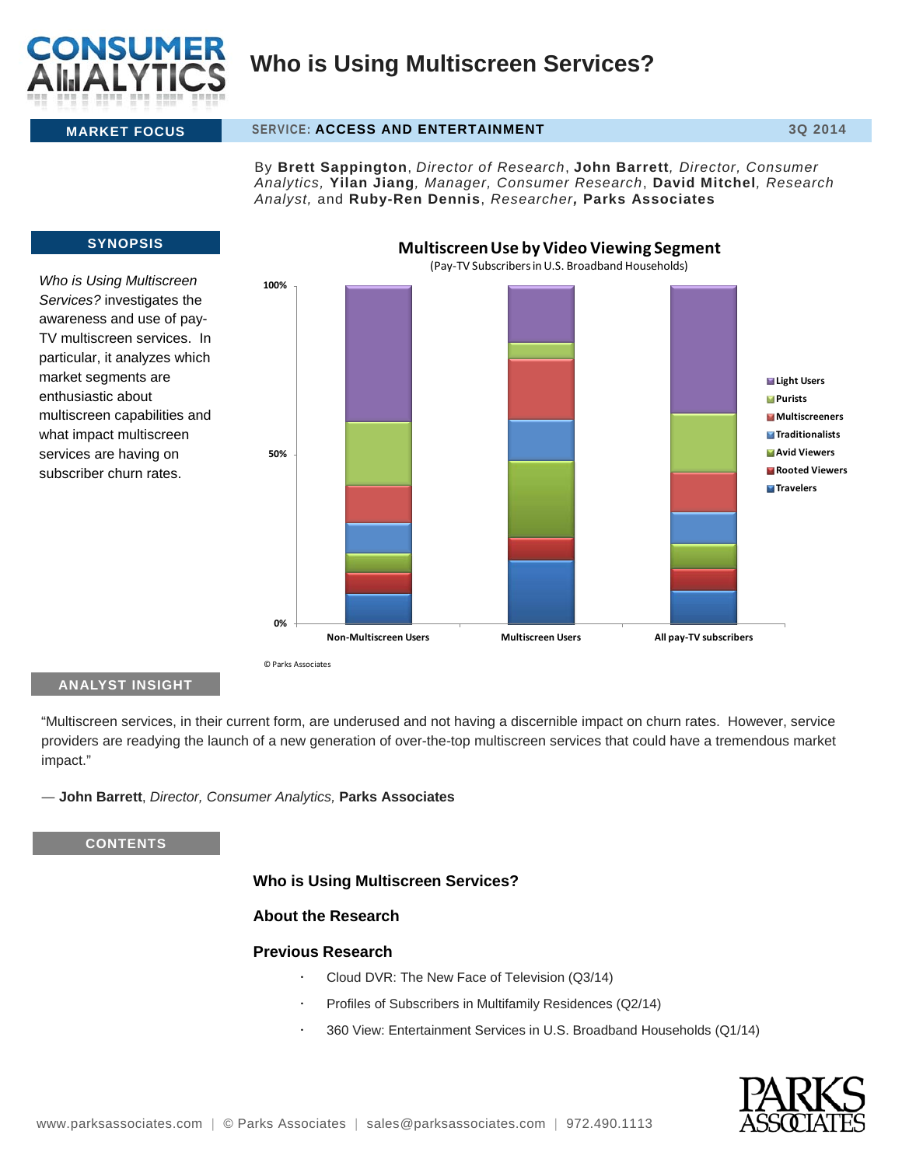

#### **MARKET FOCUS** SERVICE: **ACCESS AND ENTERTAINMENT 3Q 2014**

By **Brett Sappington**, *Director of Research*, **John Barrett***, Director, Consumer Analytics,* **Yilan Jiang***, Manager, Consumer Research*, **David Mitchel***, Research Analyst,* and **Ruby-Ren Dennis**, *Researcher,* **Parks Associates**



*Who is Using Multiscreen Services?* investigates the awareness and use of pay-TV multiscreen services. In particular, it analyzes which market segments are enthusiastic about multiscreen capabilities and what impact multiscreen services are having on subscriber churn rates.



### **ANALYST INSIGHT**

"Multiscreen services, in their current form, are underused and not having a discernible impact on churn rates. However, service providers are readying the launch of a new generation of over-the-top multiscreen services that could have a tremendous market impact."

― **John Barrett**, *Director, Consumer Analytics,* **Parks Associates**

**CONTENTS**

### **Who is Using Multiscreen Services?**

### **About the Research**

### **Previous Research**

- Cloud DVR: The New Face of Television (Q3/14)
- Profiles of Subscribers in Multifamily Residences (Q2/14)
- 360 View: Entertainment Services in U.S. Broadband Households (Q1/14)

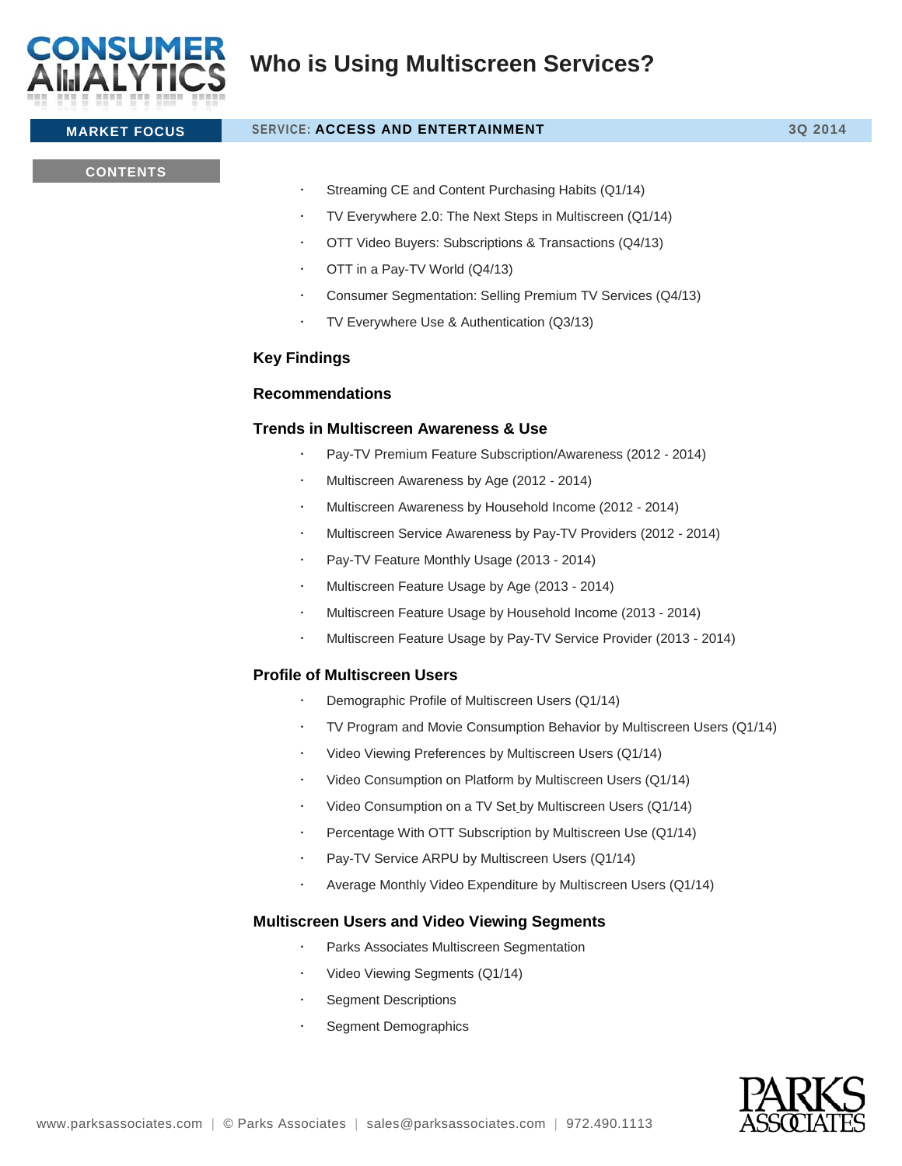

# **MARKET FOCUS** SERVICE: **ACCESS AND ENTERTAINMENT 3Q 2014**

### **CONTENTS**

- Streaming CE and Content Purchasing Habits (Q1/14)
- TV Everywhere 2.0: The Next Steps in Multiscreen (Q1/14)
- OTT Video Buyers: Subscriptions & Transactions (Q4/13)
- OTT in a Pay-TV World (Q4/13)
- Consumer Segmentation: Selling Premium TV Services (Q4/13)
- TV Everywhere Use & Authentication (Q3/13)

## **Key Findings**

### **Recommendations**

### **Trends in Multiscreen Awareness & Use**

- Pay-TV Premium Feature Subscription/Awareness (2012 2014)
- Multiscreen Awareness by Age (2012 2014)
- Multiscreen Awareness by Household Income (2012 2014)
- Multiscreen Service Awareness by Pay-TV Providers (2012 2014)
- Pay-TV Feature Monthly Usage (2013 2014)
- Multiscreen Feature Usage by Age (2013 2014)
- Multiscreen Feature Usage by Household Income (2013 2014)
- Multiscreen Feature Usage by Pay-TV Service Provider (2013 2014)

### **Profile of Multiscreen Users**

- Demographic Profile of Multiscreen Users (Q1/14)
- TV Program and Movie Consumption Behavior by Multiscreen Users (Q1/14)
- Video Viewing Preferences by Multiscreen Users (Q1/14)
- Video Consumption on Platform by Multiscreen Users (Q1/14)
- Video Consumption on a TV Set by Multiscreen Users (Q1/14)
- Percentage With OTT Subscription by Multiscreen Use (Q1/14)
- Pay-TV Service ARPU by Multiscreen Users (Q1/14)
- Average Monthly Video Expenditure by Multiscreen Users (Q1/14)

### **Multiscreen Users and Video Viewing Segments**

- Parks Associates Multiscreen Segmentation
- Video Viewing Segments (Q1/14)
- Segment Descriptions
- Segment Demographics